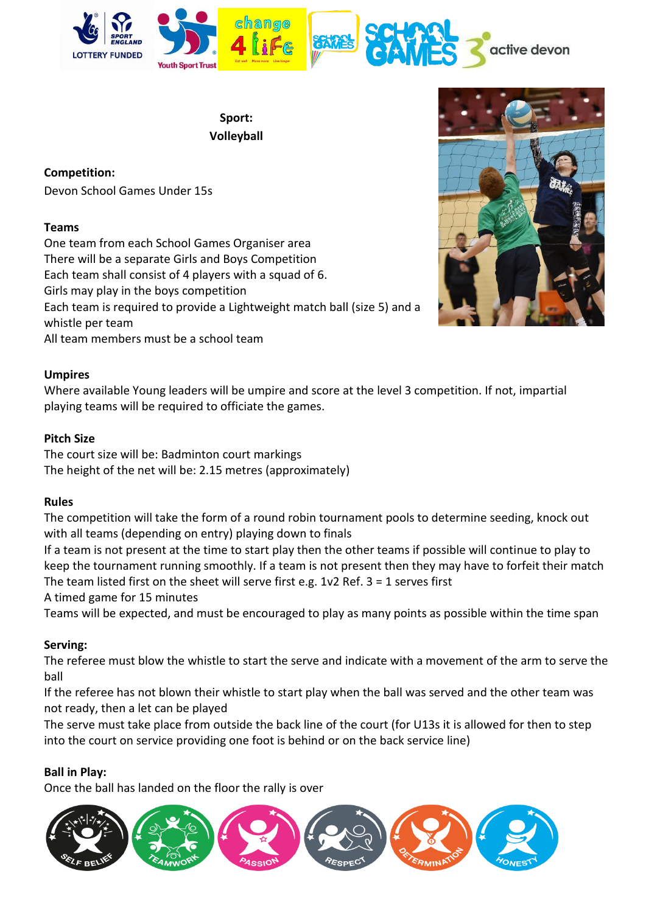

**Sport: Volleyball** 

**Competition:** Devon School Games Under 15s

# **Teams**

One team from each School Games Organiser area There will be a separate Girls and Boys Competition Each team shall consist of 4 players with a squad of 6. Girls may play in the boys competition Each team is required to provide a Lightweight match ball (size 5) and a whistle per team All team members must be a school team



### **Umpires**

Where available Young leaders will be umpire and score at the level 3 competition. If not, impartial playing teams will be required to officiate the games.

## **Pitch Size**

The court size will be: Badminton court markings The height of the net will be: 2.15 metres (approximately)

### **Rules**

The competition will take the form of a round robin tournament pools to determine seeding, knock out with all teams (depending on entry) playing down to finals

If a team is not present at the time to start play then the other teams if possible will continue to play to keep the tournament running smoothly. If a team is not present then they may have to forfeit their match The team listed first on the sheet will serve first e.g. 1v2 Ref. 3 = 1 serves first

A timed game for 15 minutes

Teams will be expected, and must be encouraged to play as many points as possible within the time span

# **Serving:**

The referee must blow the whistle to start the serve and indicate with a movement of the arm to serve the ball

If the referee has not blown their whistle to start play when the ball was served and the other team was not ready, then a let can be played

The serve must take place from outside the back line of the court (for U13s it is allowed for then to step into the court on service providing one foot is behind or on the back service line)

# **Ball in Play:**

Once the ball has landed on the floor the rally is over